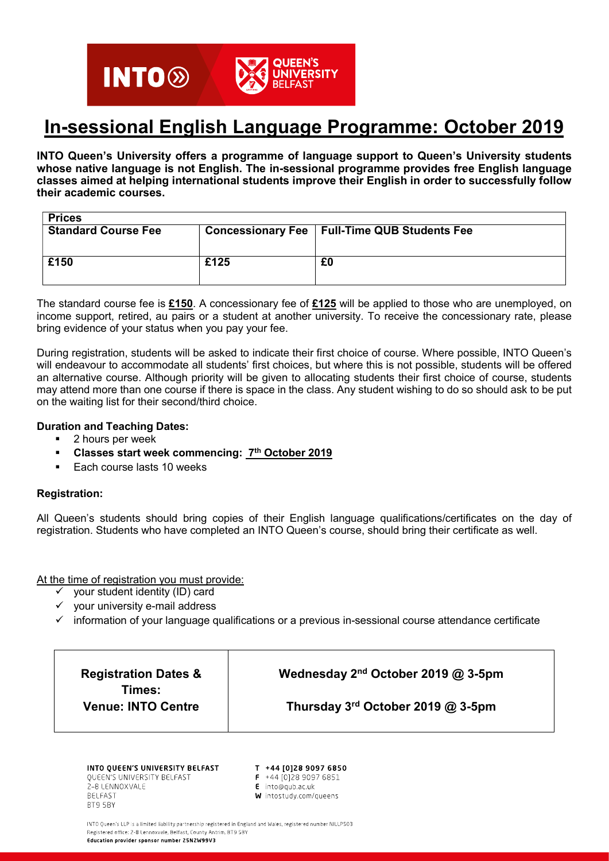# **QUEEN'S INTO<sup>®</sup> UNIVERSITY**

# In-sessional English Language Programme: October 2019

INTO Queen's University offers a programme of language support to Queen's University students whose native language is not English. The in-sessional programme provides free English language classes aimed at helping international students improve their English in order to successfully follow their academic courses.

| <b>Prices</b>              |      |                                                |
|----------------------------|------|------------------------------------------------|
| <b>Standard Course Fee</b> |      | Concessionary Fee   Full-Time QUB Students Fee |
|                            |      |                                                |
|                            |      |                                                |
| £150                       | £125 | £0                                             |
|                            |      |                                                |
|                            |      |                                                |

The standard course fee is £150. A concessionary fee of £125 will be applied to those who are unemployed, on income support, retired, au pairs or a student at another university. To receive the concessionary rate, please bring evidence of your status when you pay your fee.

During registration, students will be asked to indicate their first choice of course. Where possible, INTO Queen's will endeavour to accommodate all students' first choices, but where this is not possible, students will be offered an alternative course. Although priority will be given to allocating students their first choice of course, students may attend more than one course if there is space in the class. Any student wishing to do so should ask to be put on the waiting list for their second/third choice.

#### Duration and Teaching Dates:

- 2 hours per week
- **Classes start week commencing: 7th October 2019**
- Each course lasts 10 weeks

### Registration:

All Queen's students should bring copies of their English language qualifications/certificates on the day of registration. Students who have completed an INTO Queen's course, should bring their certificate as well.

At the time of registration you must provide:

- $\checkmark$  your student identity (ID) card
- $\checkmark$  your university e-mail address
- $\checkmark$  information of your language qualifications or a previous in-sessional course attendance certificate

| <b>Registration Dates &amp;</b><br>Times:<br><b>Venue: INTO Centre</b> | Wednesday 2 <sup>nd</sup> October 2019 @ 3-5pm |  |
|------------------------------------------------------------------------|------------------------------------------------|--|
|                                                                        | Thursday $3^{\text{rd}}$ October 2019 @ 3-5pm  |  |
|                                                                        |                                                |  |

INTO OUEEN'S UNIVERSITY BELFAST QUEEN'S UNIVERSITY BELFAST 2-8 LENNOXVALE **BELFAST** BT9 5BY

T +44 [0]28 9097 6850

- $F$  +44 [0] 28 9097 6851 E into@qub.ac.uk
- W intostudy.com/queens

INTO Queen's LLP is a limited liability partnership registered in England and Wales, registered number NILLP503 Registered office: 2-8 Lennoxvale, Belfast, County Antrim, BT9 5BY Education provider sponsor number 25N2W99V3